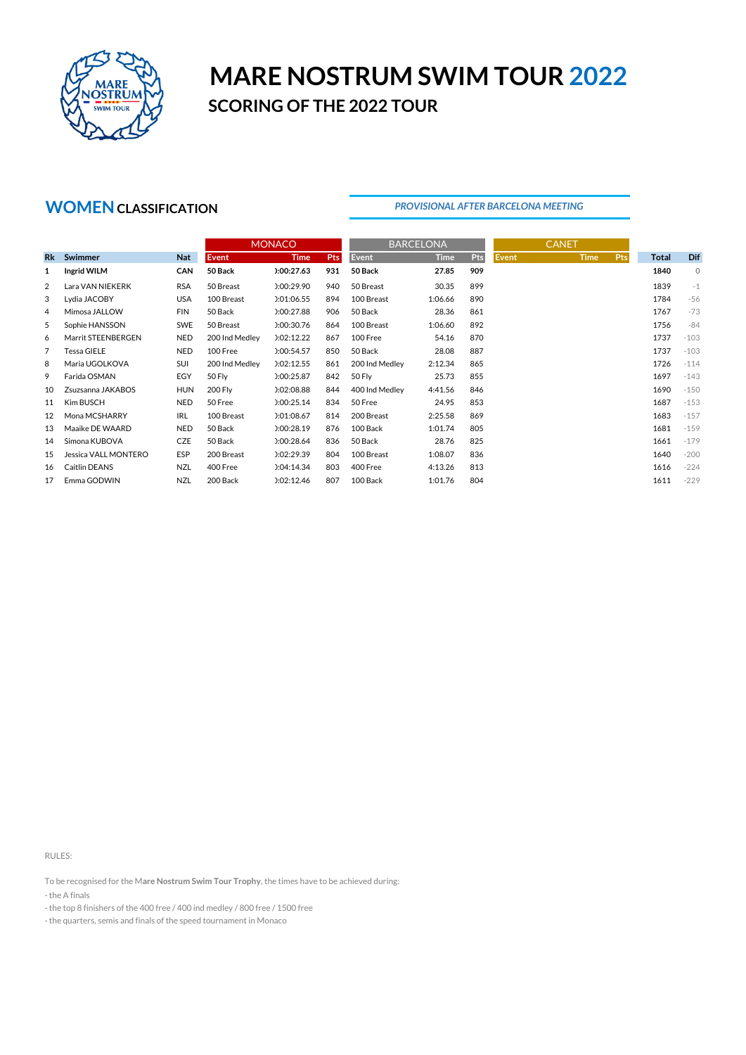

# **MARE NOSTRUM SWIM TOUR 2022 SCORING OF THE 2022 TOUR**

## **WOMENCLASSIFICATION**

#### *PROVISIONAL AFTER BARCELONA MEETING*

|                |                      |            | <b>MONACO</b>  |             |            | <b>BARCELONA</b> |             |     |       | <b>CANET</b> |            |              |         |
|----------------|----------------------|------------|----------------|-------------|------------|------------------|-------------|-----|-------|--------------|------------|--------------|---------|
| <b>Rk</b>      | Swimmer              | <b>Nat</b> | <b>Event</b>   | <b>Time</b> | <b>Pts</b> | Event            | <b>Time</b> | Pts | Event | <b>Time</b>  | <b>Pts</b> | <b>Total</b> | Dif     |
| 1              | <b>Ingrid WILM</b>   | <b>CAN</b> | 50 Back        | ):00:27.63  | 931        | 50 Back          | 27.85       | 909 |       |              |            | 1840         | $\circ$ |
| $\overline{2}$ | Lara VAN NIEKERK     | <b>RSA</b> | 50 Breast      | ):00:29.90  | 940        | 50 Breast        | 30.35       | 899 |       |              |            | 1839         | $-1$    |
| 3              | Lydia JACOBY         | <b>USA</b> | 100 Breast     | 0:01:06.55  | 894        | 100 Breast       | 1:06.66     | 890 |       |              |            | 1784         | $-56$   |
| 4              | Mimosa JALLOW        | <b>FIN</b> | 50 Back        | ):00:27.88  | 906        | 50 Back          | 28.36       | 861 |       |              |            | 1767         | $-73$   |
| 5              | Sophie HANSSON       | SWE        | 50 Breast      | ):00:30.76  | 864        | 100 Breast       | 1:06.60     | 892 |       |              |            | 1756         | $-84$   |
| 6              | Marrit STEENBERGEN   | <b>NED</b> | 200 Ind Medley | 0:02:12.22  | 867        | 100 Free         | 54.16       | 870 |       |              |            | 1737         | $-103$  |
| 7              | Tessa GIELE          | <b>NED</b> | 100 Free       | ):00:54.57  | 850        | 50 Back          | 28.08       | 887 |       |              |            | 1737         | $-103$  |
| 8              | Maria UGOLKOVA       | SUI        | 200 Ind Medley | 0:02:12.55  | 861        | 200 Ind Medley   | 2:12.34     | 865 |       |              |            | 1726         | $-114$  |
| 9              | Farida OSMAN         | EGY        | 50 Fly         | 0:00:25.87  | 842        | 50 Fly           | 25.73       | 855 |       |              |            | 1697         | $-143$  |
| 10             | Zsuzsanna JAKABOS    | <b>HUN</b> | 200 Fly        | 0:2:08.88   | 844        | 400 Ind Medley   | 4:41.56     | 846 |       |              |            | 1690         | $-150$  |
| 11             | Kim BUSCH            | <b>NED</b> | 50 Free        | 0:00:25.14  | 834        | 50 Free          | 24.95       | 853 |       |              |            | 1687         | $-153$  |
| 12             | Mona MCSHARRY        | <b>IRL</b> | 100 Breast     | 0:01:08.67  | 814        | 200 Breast       | 2:25.58     | 869 |       |              |            | 1683         | $-157$  |
| 13             | Maaike DE WAARD      | <b>NED</b> | 50 Back        | ):00:28.19  | 876        | 100 Back         | 1:01.74     | 805 |       |              |            | 1681         | $-159$  |
| 14             | Simona KUBOVA        | CZE        | 50 Back        | ):00:28.64  | 836        | 50 Back          | 28.76       | 825 |       |              |            | 1661         | $-179$  |
| 15             | Jessica VALL MONTERO | <b>ESP</b> | 200 Breast     | ):02:29.39  | 804        | 100 Breast       | 1:08.07     | 836 |       |              |            | 1640         | $-200$  |
| 16             | <b>Caitlin DEANS</b> | NZL        | 400 Free       | 0:04:14.34  | 803        | 400 Free         | 4:13.26     | 813 |       |              |            | 1616         | $-224$  |
| 17             | Emma GODWIN          | NZL        | 200 Back       | 0:02:12.46  | 807        | 100 Back         | 1:01.76     | 804 |       |              |            | 1611         | $-229$  |

RULES:

To be recognised for the M**are Nostrum Swim Tour Trophy**, the times have to be achieved during:

- the A finals

- the top 8 finishers of the 400 free / 400 ind medley / 800 free / 1500 free

- the quarters, semis and finals of the speed tournament in Monaco